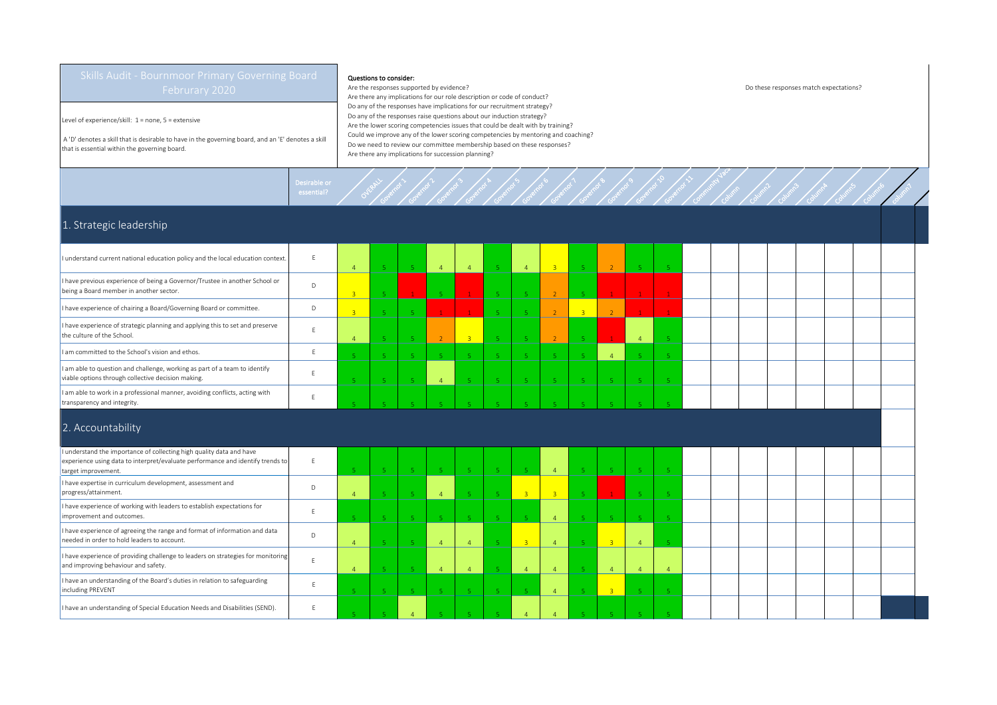Level of experience/skill: 1 = none, 5 = extensive

 A 'D' denotes a skill that is desirable to have in the governing board, and an 'E' denotes a skill that is essential within the governing board.

## Questions to consider:

Governor >

Governor 2

Governor 3

Desirable or<br>essential? Overall

Are the responses supported by evidence? Do these responses match expectations? Are there any implications for our role description or code of conduct? Do any of the responses have implications for our recruitment strategy? Do any of the responses raise questions about our induction strategy? Are the lower scoring competencies issues that could be dealt with by training? Could we improve any of the lower scoring competencies by mentoring and coaching? Do we need to review our committee membership based on these responses? Are there any implications for succession planning?

Governor &

Governor 5

Governor 6

Governor 7

Governor B

Governor 9

Governor 10

Governor 11

Community Vacancy Column

Column2

Column3

Column4

Columns

Column6

Column 7

## 1. Strategic leadership

| I understand current national education policy and the local education context.                                                                        |              |     | -51                     | $\overline{4}$ | $\mathbf{A}$            | -5             | $\overline{4}$ | 3 <sup>°</sup> |                | <sup>2</sup>   |  |  |  |  |  |
|--------------------------------------------------------------------------------------------------------------------------------------------------------|--------------|-----|-------------------------|----------------|-------------------------|----------------|----------------|----------------|----------------|----------------|--|--|--|--|--|
| I have previous experience of being a Governor/Trustee in another School or<br>being a Board member in another sector.                                 | $\mathsf{D}$ |     |                         | -5             |                         | -5             |                | $\overline{2}$ |                | $\mathbf{1}$   |  |  |  |  |  |
| I have experience of chairing a Board/Governing Board or committee.                                                                                    | Ð            |     |                         |                |                         | 5 <sup>7</sup> |                | $\overline{2}$ | $\overline{3}$ | $\overline{2}$ |  |  |  |  |  |
| I have experience of strategic planning and applying this to set and preserve<br>the culture of the School.                                            |              |     |                         | $\overline{2}$ | $\overline{\mathbf{3}}$ | 5              |                | $\overline{2}$ |                | u.             |  |  |  |  |  |
| I am committed to the School's vision and ethos.                                                                                                       |              |     | $\mathbf{E}_\mathrm{c}$ | 5.             |                         | -5             |                | 5.             |                | $\overline{4}$ |  |  |  |  |  |
| I am able to question and challenge, working as part of a team to identify<br>viable options through collective decision making.                       |              | -5. | 5                       | $\overline{4}$ |                         | 5 <sub>1</sub> | 5.             | 5 <sup>°</sup> |                | 5 <sup>°</sup> |  |  |  |  |  |
| I am able to work in a professional manner, avoiding conflicts, acting with<br>transparency and integrity.                                             |              |     |                         |                |                         |                |                |                |                |                |  |  |  |  |  |
| 2. Accountability                                                                                                                                      |              |     |                         |                |                         |                |                |                |                |                |  |  |  |  |  |
| I understand the importance of collecting high quality data and have<br>ovnoriance using data to interpret/ovaluate performance and identify trends to |              |     |                         |                |                         |                |                |                |                |                |  |  |  |  |  |

| understand the importance of collecting high quality data and have<br>experience using data to interpret/evaluate performance and identify trends to<br>target improvement. |  |  |  | -5                      |  |              |          |  |  |  |  |  |
|-----------------------------------------------------------------------------------------------------------------------------------------------------------------------------|--|--|--|-------------------------|--|--------------|----------|--|--|--|--|--|
| I have expertise in curriculum development, assessment and<br>progress/attainment.                                                                                          |  |  |  | $\overline{\mathbf{3}}$ |  |              |          |  |  |  |  |  |
| I have experience of working with leaders to establish expectations for<br>improvement and outcomes.                                                                        |  |  |  | -5                      |  |              |          |  |  |  |  |  |
| I have experience of agreeing the range and format of information and data<br>needed in order to hold leaders to account.                                                   |  |  |  | $\overline{3}$          |  |              |          |  |  |  |  |  |
| I have experience of providing challenge to leaders on strategies for monitoring<br>and improving behaviour and safety.                                                     |  |  |  | $\overline{A}$          |  |              | $\Delta$ |  |  |  |  |  |
| I have an understanding of the Board's duties in relation to safeguarding<br>including PREVENT                                                                              |  |  |  | - 5 -                   |  | $\mathbf{R}$ |          |  |  |  |  |  |
| I have an understanding of Special Education Needs and Disabilities (SEND).                                                                                                 |  |  |  |                         |  |              |          |  |  |  |  |  |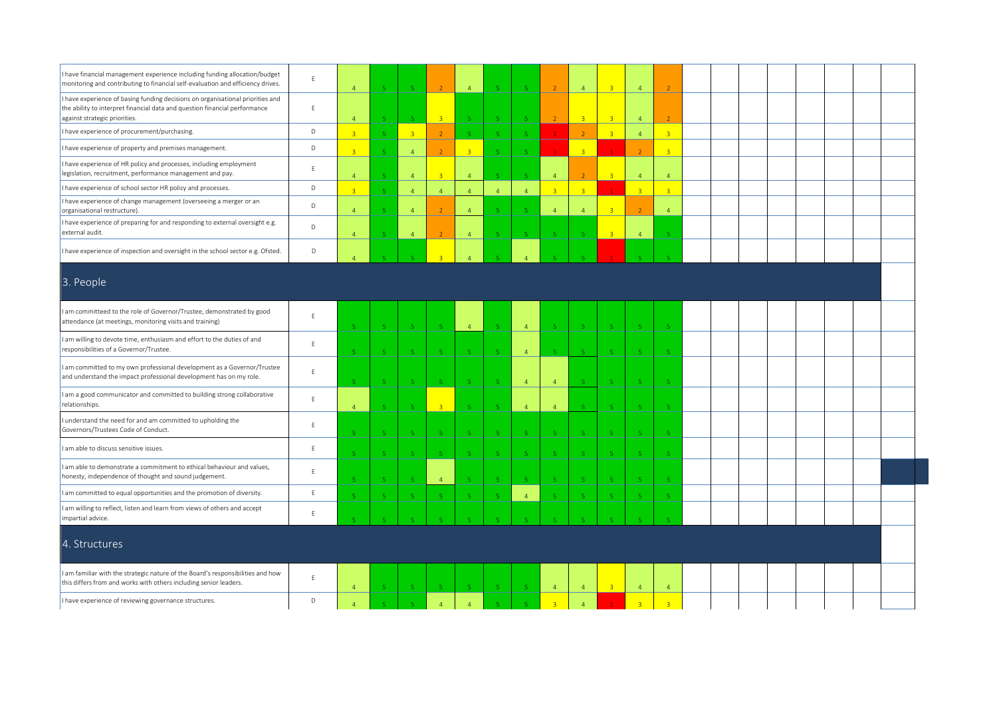| I have financial management experience including funding allocation/budget<br>monitoring and contributing to financial self-evaluation and efficiency drives.                                 | E           | $\overline{4}$ | $\overline{5}$          | -5.                         | $\overline{2}$ | $\overline{4}$            |                             | -5.            |                         | $\overline{4}$           | $\overline{z}$ | $\overline{4}$ |                |  |  |  |  |  |
|-----------------------------------------------------------------------------------------------------------------------------------------------------------------------------------------------|-------------|----------------|-------------------------|-----------------------------|----------------|---------------------------|-----------------------------|----------------|-------------------------|--------------------------|----------------|----------------|----------------|--|--|--|--|--|
| I have experience of basing funding decisions on organisational priorities and<br>the ability to interpret financial data and question financial performance<br>against strategic priorities. | $\mathsf E$ | $\overline{a}$ | $\sqrt{5}$              |                             | $\overline{3}$ |                           |                             | $\sqrt{5}$     |                         | $\overline{3}$           |                | $\overline{4}$ |                |  |  |  |  |  |
| I have experience of procurement/purchasing.                                                                                                                                                  | $\mathsf D$ | $\overline{R}$ | $\overline{5}$          | $\overline{3}$              | $\overline{2}$ | $\overline{\mathbf{r}}_i$ |                             | -5             |                         | $\overline{z}$           | $\overline{3}$ | $\overline{4}$ | $\overline{3}$ |  |  |  |  |  |
| I have experience of property and premises management.                                                                                                                                        | D           |                | 5                       | $\overline{4}$              |                | $\overline{3}$            |                             |                |                         | $\overline{3}$           |                |                | $\overline{3}$ |  |  |  |  |  |
| I have experience of HR policy and processes, including employment<br>legislation, recruitment, performance management and pay.                                                               | E           | $\overline{4}$ | $\overline{5}$          | $\overline{4}$              | 3 <sup>°</sup> | $\overline{4}$            | $\mathbf{E}_\mathrm{c}$     | $\overline{5}$ | $\overline{4}$          | $\overline{z}$           | $\overline{3}$ | $\overline{4}$ | $\overline{4}$ |  |  |  |  |  |
| I have experience of school sector HR policy and processes.                                                                                                                                   | $\mathsf D$ | $\overline{3}$ | $\mathsf S$             | $\overline{4}$              | $\overline{4}$ | $\overline{4}$            | $\overline{4}$              | $\overline{4}$ | 3 <sup>2</sup>          | $\overline{3}$           |                | $\overline{3}$ | $\overline{3}$ |  |  |  |  |  |
| I have experience of change management (overseeing a merger or an<br>organisational restructure).                                                                                             | D           | $\overline{a}$ | 5 <sub>1</sub>          | $\overline{4}$              |                | $\Lambda$                 |                             | -5             | $\overline{A}$          | $\overline{4}$           | $\overline{R}$ |                | $\Lambda$      |  |  |  |  |  |
| I have experience of preparing for and responding to external oversight e.g.<br>external audit.                                                                                               | $\mathsf D$ | $\overline{4}$ | -51                     | $\overline{4}$              | $\overline{2}$ | $\overline{4}$            |                             | $-5$           |                         | $\overline{5}$           | $\mathbb{R}$   | $\overline{4}$ |                |  |  |  |  |  |
| I have experience of inspection and oversight in the school sector e.g. Ofsted.                                                                                                               | D           |                |                         |                             |                |                           |                             |                |                         |                          |                |                |                |  |  |  |  |  |
| 3. People                                                                                                                                                                                     |             |                |                         |                             |                |                           |                             |                |                         |                          |                |                |                |  |  |  |  |  |
| am committeed to the role of Governor/Trustee, demonstrated by good<br>attendance (at meetings, monitoring visits and training)                                                               | E           |                | 5 <sub>1</sub>          | -5                          | -5             | $\overline{4}$            |                             | $\overline{4}$ | 5 <sub>1</sub>          | $\sqrt{5}$               | $\sqrt{5}$     | $\,$ 5 $\,$    |                |  |  |  |  |  |
| I am willing to devote time, enthusiasm and effort to the duties of and<br>responsibilities of a Governor/Trustee.                                                                            | $\mathsf E$ |                | -5                      | -5                          | $-5$           |                           |                             | $\overline{4}$ | <b>E</b>                | <b>K</b>                 | $\sqrt{5}$     | $-5$           |                |  |  |  |  |  |
| am committed to my own professional development as a Governor/Trustee<br>and understand the impact professional development has on my role.                                                   | E           |                | 5                       | $-5$                        | $-5$           |                           |                             | $\overline{4}$ | $\overline{4}$          | $\mathbf{R}$             | -5             | $\sqrt{5}$     |                |  |  |  |  |  |
| I am a good communicator and committed to building strong collaborative<br>relationships.                                                                                                     | E           | $\Lambda$      | $\mathbf{r}_i$          |                             | $\overline{3}$ |                           |                             | $\overline{4}$ | $\overline{4}$          |                          |                | -5.            |                |  |  |  |  |  |
| understand the need for and am committed to upholding the<br>Governors/Trustees Code of Conduct.                                                                                              | $\mathsf E$ |                | $\mathbf{r}_i$          |                             | -5.            |                           |                             | - 5            | <b>E</b>                | $\overline{\phantom{a}}$ |                | -5             |                |  |  |  |  |  |
| I am able to discuss sensitive issues.                                                                                                                                                        | E           |                | $\mathbf{r}_i$          | $\overline{\mathbf{5}}$     | 5 <sup>°</sup> |                           |                             | -51            | $\overline{\mathbf{5}}$ | -5                       | -5             | $\overline{5}$ |                |  |  |  |  |  |
| I am able to demonstrate a commitment to ethical behaviour and values,<br>honesty, independence of thought and sound judgement.                                                               | E           |                | $\mathbf{r}_i$          |                             | $\overline{4}$ |                           |                             |                |                         |                          |                | $\sqrt{5}$     |                |  |  |  |  |  |
| I am committed to equal opportunities and the promotion of diversity.                                                                                                                         | E           |                | $\mathsf S$             | -5                          | $\sqrt{5}$     |                           |                             | $\overline{4}$ | 5                       | $\overline{5}$           | $\overline{5}$ | $\sqrt{5}$     |                |  |  |  |  |  |
| I am willing to reflect, listen and learn from views of others and accept<br>impartial advice.                                                                                                | $\mathsf E$ |                |                         |                             |                |                           |                             |                |                         |                          |                |                |                |  |  |  |  |  |
| 4. Structures                                                                                                                                                                                 |             |                |                         |                             |                |                           |                             |                |                         |                          |                |                |                |  |  |  |  |  |
| I am familiar with the strategic nature of the Board's responsibilities and how<br>this differs from and works with others including senior leaders.                                          | E           | $\overline{4}$ | $\mathbf{r}_\mathrm{c}$ | -5.                         | $\mathcal{R}$  | <b>I</b>                  | $\mathcal{L}_{\mathcal{A}}$ | $-5$           | $\overline{4}$          | $\overline{4}$           | $\overline{3}$ | $\overline{4}$ | $\overline{4}$ |  |  |  |  |  |
| I have experience of reviewing governance structures.                                                                                                                                         | D           | $\overline{a}$ | $\mathbf{r}_\mathrm{c}$ | $\mathcal{L}_{\mathcal{L}}$ | $\overline{4}$ | $\overline{a}$            |                             |                | $\rightarrow$           | $\overline{4}$           |                | $\overline{3}$ | $\overline{3}$ |  |  |  |  |  |